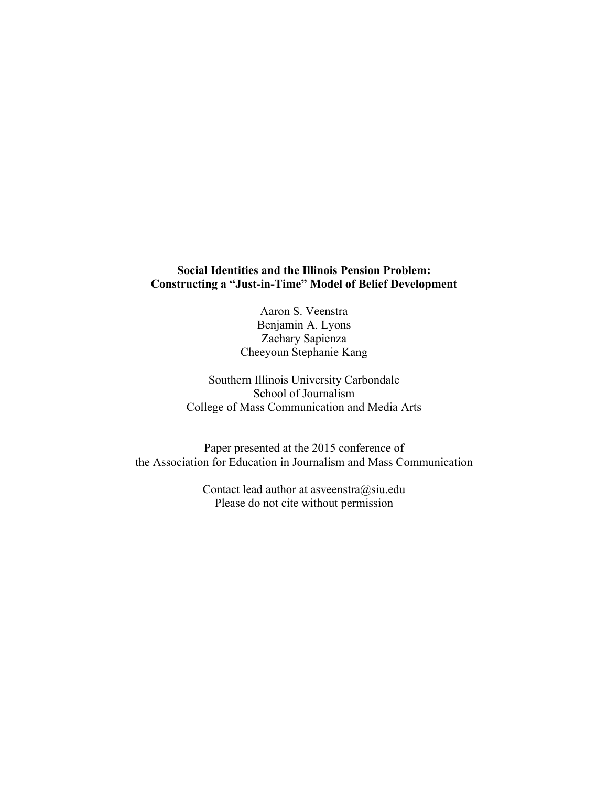## **Social Identities and the Illinois Pension Problem: Constructing a "Just-in-Time" Model of Belief Development**

Aaron S. Veenstra Benjamin A. Lyons Zachary Sapienza Cheeyoun Stephanie Kang

Southern Illinois University Carbondale School of Journalism College of Mass Communication and Media Arts

Paper presented at the 2015 conference of the Association for Education in Journalism and Mass Communication

> Contact lead author at asveenstra@siu.edu Please do not cite without permission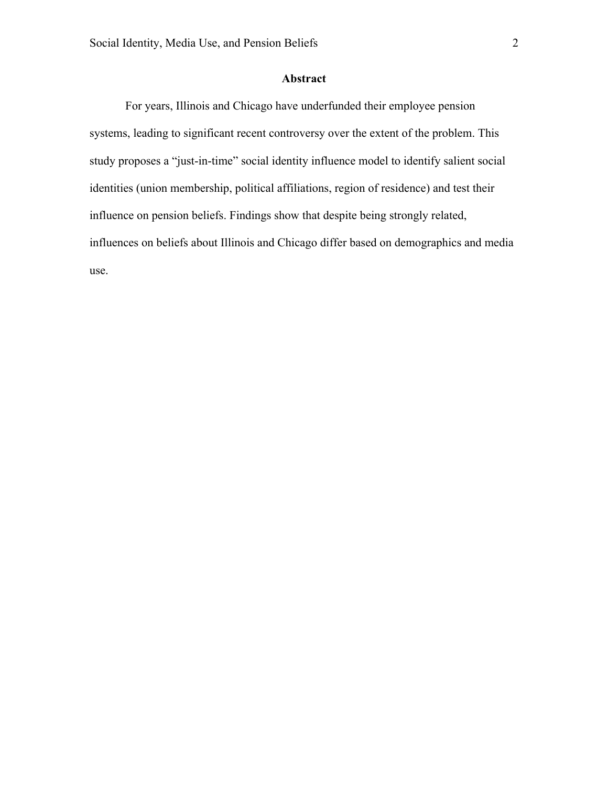# **Abstract**

For years, Illinois and Chicago have underfunded their employee pension systems, leading to significant recent controversy over the extent of the problem. This study proposes a "just-in-time" social identity influence model to identify salient social identities (union membership, political affiliations, region of residence) and test their influence on pension beliefs. Findings show that despite being strongly related, influences on beliefs about Illinois and Chicago differ based on demographics and media use.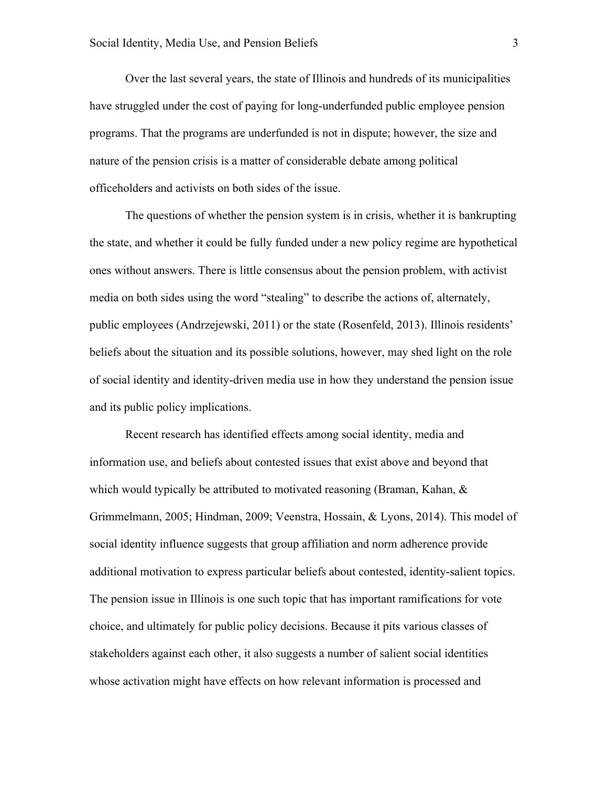Over the last several years, the state of Illinois and hundreds of its municipalities have struggled under the cost of paying for long-underfunded public employee pension programs. That the programs are underfunded is not in dispute; however, the size and nature of the pension crisis is a matter of considerable debate among political officeholders and activists on both sides of the issue.

The questions of whether the pension system is in crisis, whether it is bankrupting the state, and whether it could be fully funded under a new policy regime are hypothetical ones without answers. There is little consensus about the pension problem, with activist media on both sides using the word "stealing" to describe the actions of, alternately, public employees (Andrzejewski, 2011) or the state (Rosenfeld, 2013). Illinois residents' beliefs about the situation and its possible solutions, however, may shed light on the role of social identity and identity-driven media use in how they understand the pension issue and its public policy implications.

Recent research has identified effects among social identity, media and information use, and beliefs about contested issues that exist above and beyond that which would typically be attributed to motivated reasoning (Braman, Kahan, & Grimmelmann, 2005; Hindman, 2009; Veenstra, Hossain, & Lyons, 2014). This model of social identity influence suggests that group affiliation and norm adherence provide additional motivation to express particular beliefs about contested, identity-salient topics. The pension issue in Illinois is one such topic that has important ramifications for vote choice, and ultimately for public policy decisions. Because it pits various classes of stakeholders against each other, it also suggests a number of salient social identities whose activation might have effects on how relevant information is processed and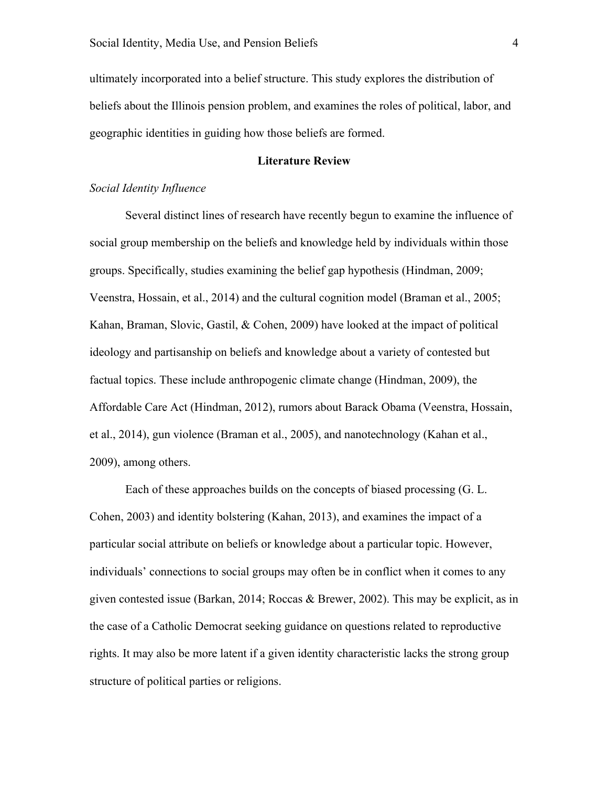ultimately incorporated into a belief structure. This study explores the distribution of beliefs about the Illinois pension problem, and examines the roles of political, labor, and geographic identities in guiding how those beliefs are formed.

## **Literature Review**

## *Social Identity Influence*

Several distinct lines of research have recently begun to examine the influence of social group membership on the beliefs and knowledge held by individuals within those groups. Specifically, studies examining the belief gap hypothesis (Hindman, 2009; Veenstra, Hossain, et al., 2014) and the cultural cognition model (Braman et al., 2005; Kahan, Braman, Slovic, Gastil, & Cohen, 2009) have looked at the impact of political ideology and partisanship on beliefs and knowledge about a variety of contested but factual topics. These include anthropogenic climate change (Hindman, 2009), the Affordable Care Act (Hindman, 2012), rumors about Barack Obama (Veenstra, Hossain, et al., 2014), gun violence (Braman et al., 2005), and nanotechnology (Kahan et al., 2009), among others.

Each of these approaches builds on the concepts of biased processing (G. L. Cohen, 2003) and identity bolstering (Kahan, 2013), and examines the impact of a particular social attribute on beliefs or knowledge about a particular topic. However, individuals' connections to social groups may often be in conflict when it comes to any given contested issue (Barkan, 2014; Roccas & Brewer, 2002). This may be explicit, as in the case of a Catholic Democrat seeking guidance on questions related to reproductive rights. It may also be more latent if a given identity characteristic lacks the strong group structure of political parties or religions.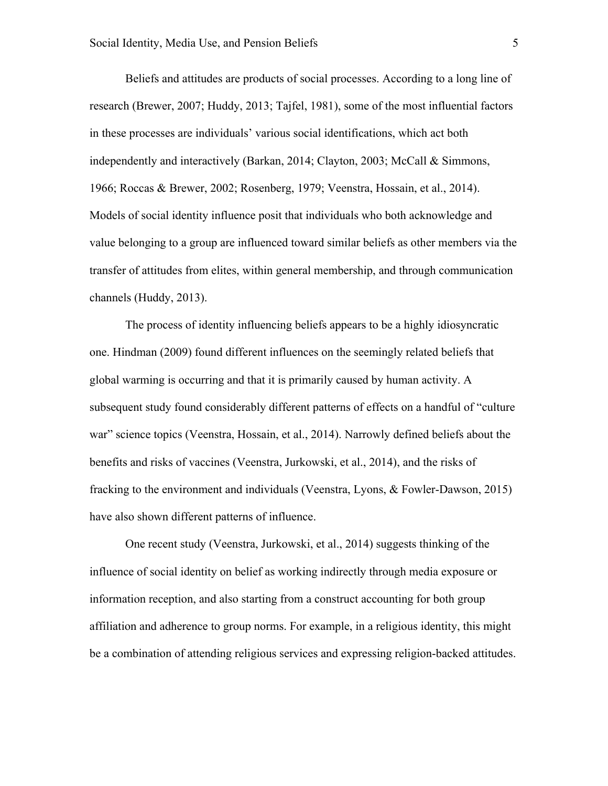Beliefs and attitudes are products of social processes. According to a long line of research (Brewer, 2007; Huddy, 2013; Tajfel, 1981), some of the most influential factors in these processes are individuals' various social identifications, which act both independently and interactively (Barkan, 2014; Clayton, 2003; McCall & Simmons, 1966; Roccas & Brewer, 2002; Rosenberg, 1979; Veenstra, Hossain, et al., 2014). Models of social identity influence posit that individuals who both acknowledge and value belonging to a group are influenced toward similar beliefs as other members via the transfer of attitudes from elites, within general membership, and through communication channels (Huddy, 2013).

The process of identity influencing beliefs appears to be a highly idiosyncratic one. Hindman (2009) found different influences on the seemingly related beliefs that global warming is occurring and that it is primarily caused by human activity. A subsequent study found considerably different patterns of effects on a handful of "culture war" science topics (Veenstra, Hossain, et al., 2014). Narrowly defined beliefs about the benefits and risks of vaccines (Veenstra, Jurkowski, et al., 2014), and the risks of fracking to the environment and individuals (Veenstra, Lyons, & Fowler-Dawson, 2015) have also shown different patterns of influence.

One recent study (Veenstra, Jurkowski, et al., 2014) suggests thinking of the influence of social identity on belief as working indirectly through media exposure or information reception, and also starting from a construct accounting for both group affiliation and adherence to group norms. For example, in a religious identity, this might be a combination of attending religious services and expressing religion-backed attitudes.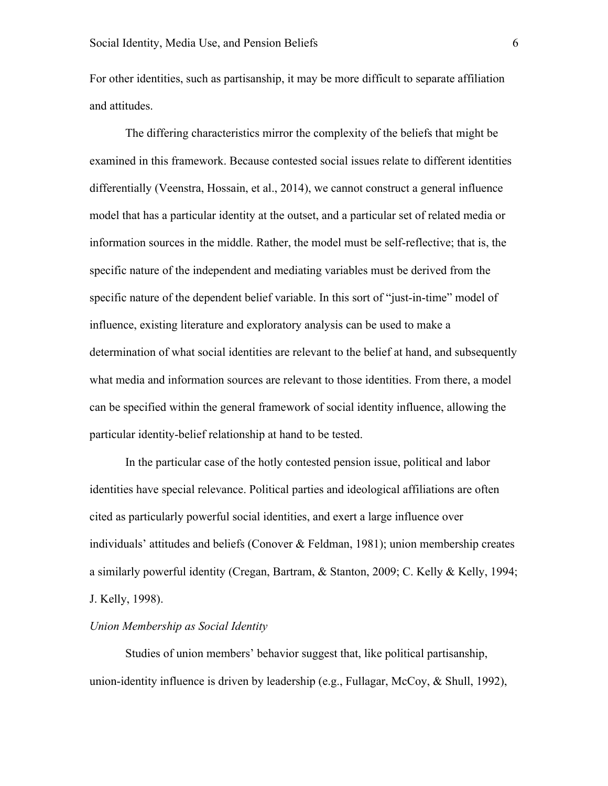For other identities, such as partisanship, it may be more difficult to separate affiliation and attitudes.

The differing characteristics mirror the complexity of the beliefs that might be examined in this framework. Because contested social issues relate to different identities differentially (Veenstra, Hossain, et al., 2014), we cannot construct a general influence model that has a particular identity at the outset, and a particular set of related media or information sources in the middle. Rather, the model must be self-reflective; that is, the specific nature of the independent and mediating variables must be derived from the specific nature of the dependent belief variable. In this sort of "just-in-time" model of influence, existing literature and exploratory analysis can be used to make a determination of what social identities are relevant to the belief at hand, and subsequently what media and information sources are relevant to those identities. From there, a model can be specified within the general framework of social identity influence, allowing the particular identity-belief relationship at hand to be tested.

In the particular case of the hotly contested pension issue, political and labor identities have special relevance. Political parties and ideological affiliations are often cited as particularly powerful social identities, and exert a large influence over individuals' attitudes and beliefs (Conover & Feldman, 1981); union membership creates a similarly powerful identity (Cregan, Bartram, & Stanton, 2009; C. Kelly & Kelly, 1994; J. Kelly, 1998).

## *Union Membership as Social Identity*

Studies of union members' behavior suggest that, like political partisanship, union-identity influence is driven by leadership (e.g., Fullagar, McCoy, & Shull, 1992),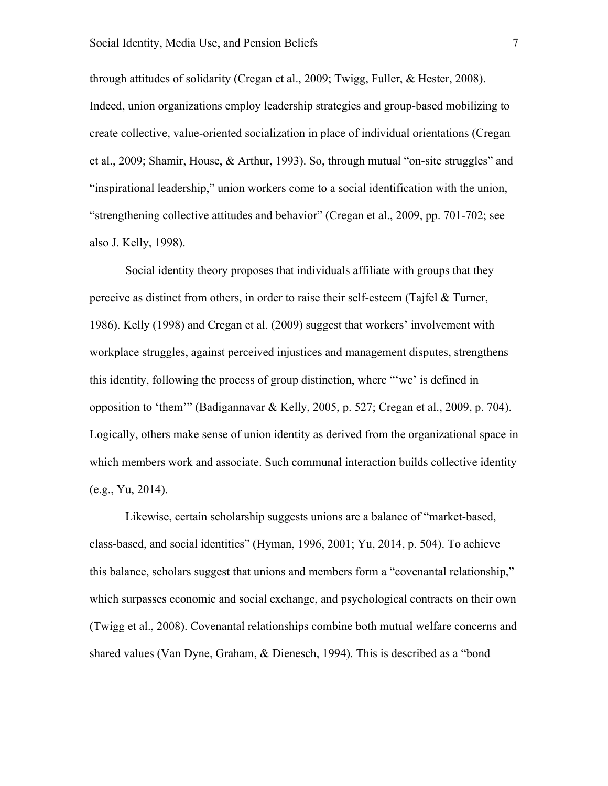through attitudes of solidarity (Cregan et al., 2009; Twigg, Fuller, & Hester, 2008). Indeed, union organizations employ leadership strategies and group-based mobilizing to create collective, value-oriented socialization in place of individual orientations (Cregan et al., 2009; Shamir, House, & Arthur, 1993). So, through mutual "on-site struggles" and "inspirational leadership," union workers come to a social identification with the union, "strengthening collective attitudes and behavior" (Cregan et al., 2009, pp. 701-702; see also J. Kelly, 1998).

Social identity theory proposes that individuals affiliate with groups that they perceive as distinct from others, in order to raise their self-esteem (Tajfel  $\&$  Turner, 1986). Kelly (1998) and Cregan et al. (2009) suggest that workers' involvement with workplace struggles, against perceived injustices and management disputes, strengthens this identity, following the process of group distinction, where "'we' is defined in opposition to 'them'" (Badigannavar & Kelly, 2005, p. 527; Cregan et al., 2009, p. 704). Logically, others make sense of union identity as derived from the organizational space in which members work and associate. Such communal interaction builds collective identity (e.g., Yu, 2014).

Likewise, certain scholarship suggests unions are a balance of "market-based, class-based, and social identities" (Hyman, 1996, 2001; Yu, 2014, p. 504). To achieve this balance, scholars suggest that unions and members form a "covenantal relationship," which surpasses economic and social exchange, and psychological contracts on their own (Twigg et al., 2008). Covenantal relationships combine both mutual welfare concerns and shared values (Van Dyne, Graham, & Dienesch, 1994). This is described as a "bond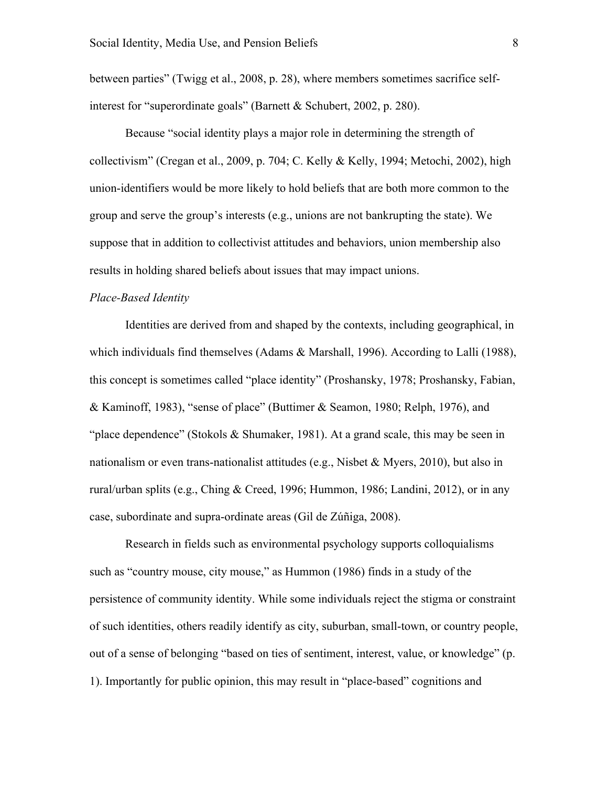between parties" (Twigg et al., 2008, p. 28), where members sometimes sacrifice selfinterest for "superordinate goals" (Barnett & Schubert, 2002, p. 280).

Because "social identity plays a major role in determining the strength of collectivism" (Cregan et al., 2009, p. 704; C. Kelly & Kelly, 1994; Metochi, 2002), high union-identifiers would be more likely to hold beliefs that are both more common to the group and serve the group's interests (e.g., unions are not bankrupting the state). We suppose that in addition to collectivist attitudes and behaviors, union membership also results in holding shared beliefs about issues that may impact unions.

#### *Place-Based Identity*

Identities are derived from and shaped by the contexts, including geographical, in which individuals find themselves (Adams & Marshall, 1996). According to Lalli (1988), this concept is sometimes called "place identity" (Proshansky, 1978; Proshansky, Fabian, & Kaminoff, 1983), "sense of place" (Buttimer & Seamon, 1980; Relph, 1976), and "place dependence" (Stokols & Shumaker, 1981). At a grand scale, this may be seen in nationalism or even trans-nationalist attitudes (e.g., Nisbet & Myers, 2010), but also in rural/urban splits (e.g., Ching & Creed, 1996; Hummon, 1986; Landini, 2012), or in any case, subordinate and supra-ordinate areas (Gil de Zúñiga, 2008).

Research in fields such as environmental psychology supports colloquialisms such as "country mouse, city mouse," as Hummon (1986) finds in a study of the persistence of community identity. While some individuals reject the stigma or constraint of such identities, others readily identify as city, suburban, small-town, or country people, out of a sense of belonging "based on ties of sentiment, interest, value, or knowledge" (p. 1). Importantly for public opinion, this may result in "place-based" cognitions and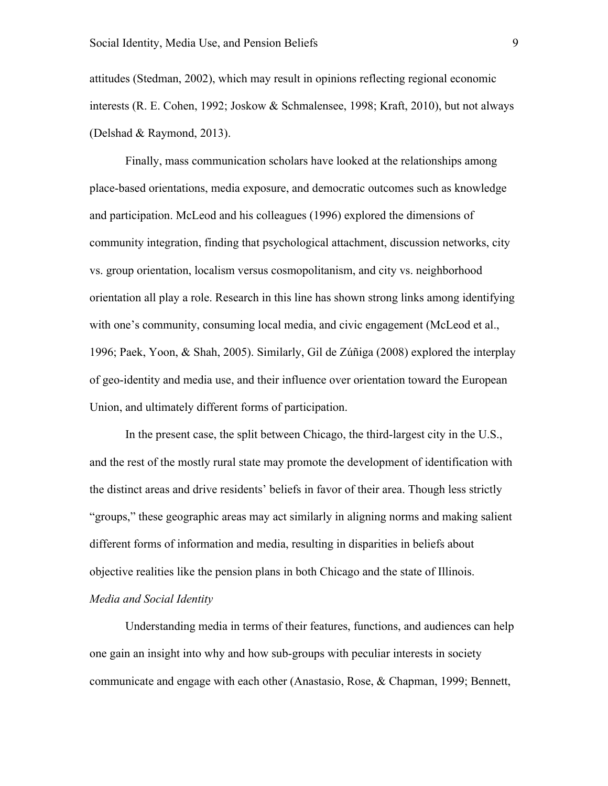attitudes (Stedman, 2002), which may result in opinions reflecting regional economic interests (R. E. Cohen, 1992; Joskow & Schmalensee, 1998; Kraft, 2010), but not always (Delshad & Raymond, 2013).

Finally, mass communication scholars have looked at the relationships among place-based orientations, media exposure, and democratic outcomes such as knowledge and participation. McLeod and his colleagues (1996) explored the dimensions of community integration, finding that psychological attachment, discussion networks, city vs. group orientation, localism versus cosmopolitanism, and city vs. neighborhood orientation all play a role. Research in this line has shown strong links among identifying with one's community, consuming local media, and civic engagement (McLeod et al., 1996; Paek, Yoon, & Shah, 2005). Similarly, Gil de Zúñiga (2008) explored the interplay of geo-identity and media use, and their influence over orientation toward the European Union, and ultimately different forms of participation.

In the present case, the split between Chicago, the third-largest city in the U.S., and the rest of the mostly rural state may promote the development of identification with the distinct areas and drive residents' beliefs in favor of their area. Though less strictly "groups," these geographic areas may act similarly in aligning norms and making salient different forms of information and media, resulting in disparities in beliefs about objective realities like the pension plans in both Chicago and the state of Illinois. *Media and Social Identity*

Understanding media in terms of their features, functions, and audiences can help one gain an insight into why and how sub-groups with peculiar interests in society communicate and engage with each other (Anastasio, Rose, & Chapman, 1999; Bennett,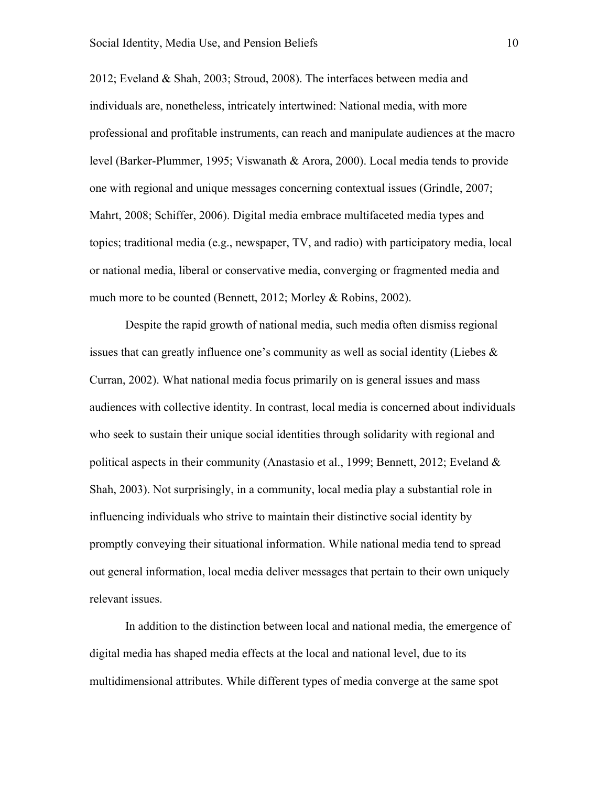2012; Eveland & Shah, 2003; Stroud, 2008). The interfaces between media and individuals are, nonetheless, intricately intertwined: National media, with more professional and profitable instruments, can reach and manipulate audiences at the macro level (Barker-Plummer, 1995; Viswanath & Arora, 2000). Local media tends to provide one with regional and unique messages concerning contextual issues (Grindle, 2007; Mahrt, 2008; Schiffer, 2006). Digital media embrace multifaceted media types and topics; traditional media (e.g., newspaper, TV, and radio) with participatory media, local or national media, liberal or conservative media, converging or fragmented media and much more to be counted (Bennett, 2012; Morley & Robins, 2002).

Despite the rapid growth of national media, such media often dismiss regional issues that can greatly influence one's community as well as social identity (Liebes & Curran, 2002). What national media focus primarily on is general issues and mass audiences with collective identity. In contrast, local media is concerned about individuals who seek to sustain their unique social identities through solidarity with regional and political aspects in their community (Anastasio et al., 1999; Bennett, 2012; Eveland  $\&$ Shah, 2003). Not surprisingly, in a community, local media play a substantial role in influencing individuals who strive to maintain their distinctive social identity by promptly conveying their situational information. While national media tend to spread out general information, local media deliver messages that pertain to their own uniquely relevant issues.

In addition to the distinction between local and national media, the emergence of digital media has shaped media effects at the local and national level, due to its multidimensional attributes. While different types of media converge at the same spot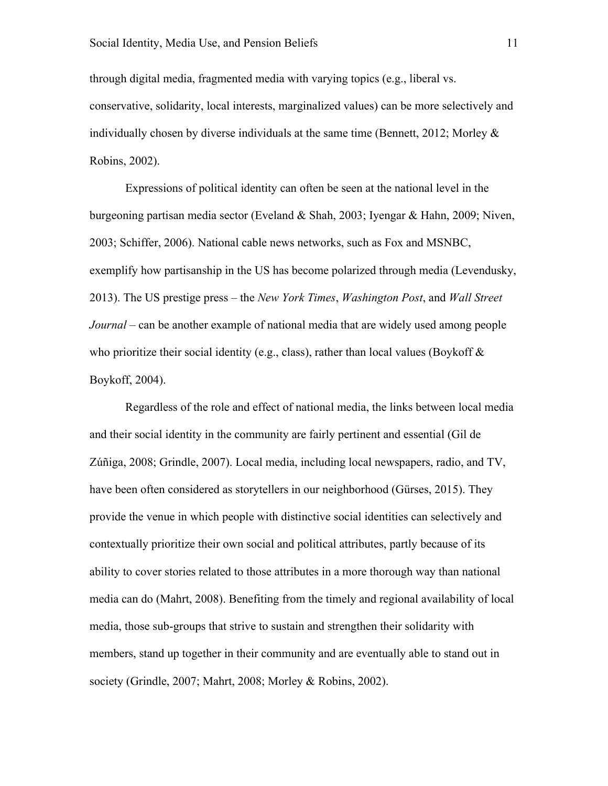through digital media, fragmented media with varying topics (e.g., liberal vs. conservative, solidarity, local interests, marginalized values) can be more selectively and individually chosen by diverse individuals at the same time (Bennett, 2012; Morley & Robins, 2002).

Expressions of political identity can often be seen at the national level in the burgeoning partisan media sector (Eveland & Shah, 2003; Iyengar & Hahn, 2009; Niven, 2003; Schiffer, 2006). National cable news networks, such as Fox and MSNBC, exemplify how partisanship in the US has become polarized through media (Levendusky, 2013). The US prestige press – the *New York Times*, *Washington Post*, and *Wall Street Journal* – can be another example of national media that are widely used among people who prioritize their social identity (e.g., class), rather than local values (Boykoff  $\&$ Boykoff, 2004).

Regardless of the role and effect of national media, the links between local media and their social identity in the community are fairly pertinent and essential (Gil de Zúñiga, 2008; Grindle, 2007). Local media, including local newspapers, radio, and TV, have been often considered as storytellers in our neighborhood (Gürses, 2015). They provide the venue in which people with distinctive social identities can selectively and contextually prioritize their own social and political attributes, partly because of its ability to cover stories related to those attributes in a more thorough way than national media can do (Mahrt, 2008). Benefiting from the timely and regional availability of local media, those sub-groups that strive to sustain and strengthen their solidarity with members, stand up together in their community and are eventually able to stand out in society (Grindle, 2007; Mahrt, 2008; Morley & Robins, 2002).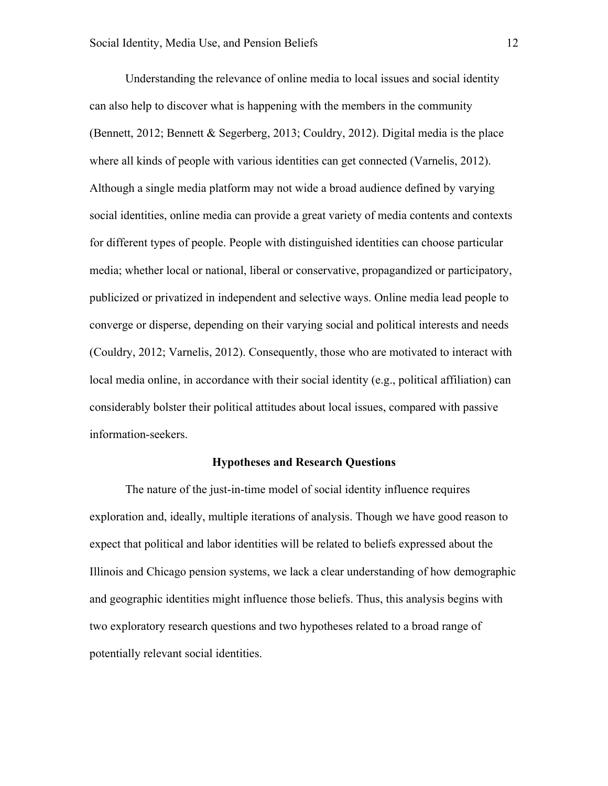Understanding the relevance of online media to local issues and social identity can also help to discover what is happening with the members in the community (Bennett, 2012; Bennett & Segerberg, 2013; Couldry, 2012). Digital media is the place where all kinds of people with various identities can get connected (Varnelis, 2012). Although a single media platform may not wide a broad audience defined by varying social identities, online media can provide a great variety of media contents and contexts for different types of people. People with distinguished identities can choose particular media; whether local or national, liberal or conservative, propagandized or participatory, publicized or privatized in independent and selective ways. Online media lead people to converge or disperse, depending on their varying social and political interests and needs (Couldry, 2012; Varnelis, 2012). Consequently, those who are motivated to interact with local media online, in accordance with their social identity (e.g., political affiliation) can considerably bolster their political attitudes about local issues, compared with passive information-seekers.

#### **Hypotheses and Research Questions**

The nature of the just-in-time model of social identity influence requires exploration and, ideally, multiple iterations of analysis. Though we have good reason to expect that political and labor identities will be related to beliefs expressed about the Illinois and Chicago pension systems, we lack a clear understanding of how demographic and geographic identities might influence those beliefs. Thus, this analysis begins with two exploratory research questions and two hypotheses related to a broad range of potentially relevant social identities.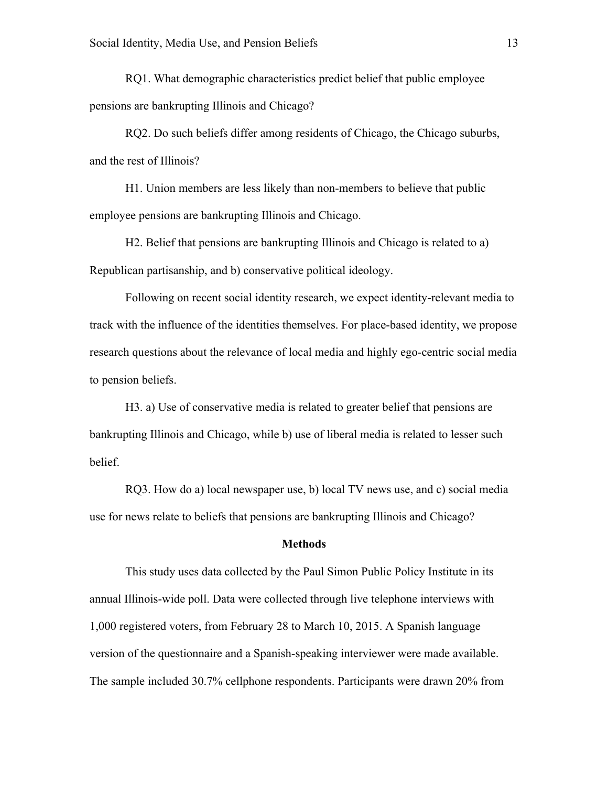RQ1. What demographic characteristics predict belief that public employee pensions are bankrupting Illinois and Chicago?

RQ2. Do such beliefs differ among residents of Chicago, the Chicago suburbs, and the rest of Illinois?

H1. Union members are less likely than non-members to believe that public employee pensions are bankrupting Illinois and Chicago.

H2. Belief that pensions are bankrupting Illinois and Chicago is related to a) Republican partisanship, and b) conservative political ideology.

Following on recent social identity research, we expect identity-relevant media to track with the influence of the identities themselves. For place-based identity, we propose research questions about the relevance of local media and highly ego-centric social media to pension beliefs.

H3. a) Use of conservative media is related to greater belief that pensions are bankrupting Illinois and Chicago, while b) use of liberal media is related to lesser such belief.

RQ3. How do a) local newspaper use, b) local TV news use, and c) social media use for news relate to beliefs that pensions are bankrupting Illinois and Chicago?

## **Methods**

This study uses data collected by the Paul Simon Public Policy Institute in its annual Illinois-wide poll. Data were collected through live telephone interviews with 1,000 registered voters, from February 28 to March 10, 2015. A Spanish language version of the questionnaire and a Spanish-speaking interviewer were made available. The sample included 30.7% cellphone respondents. Participants were drawn 20% from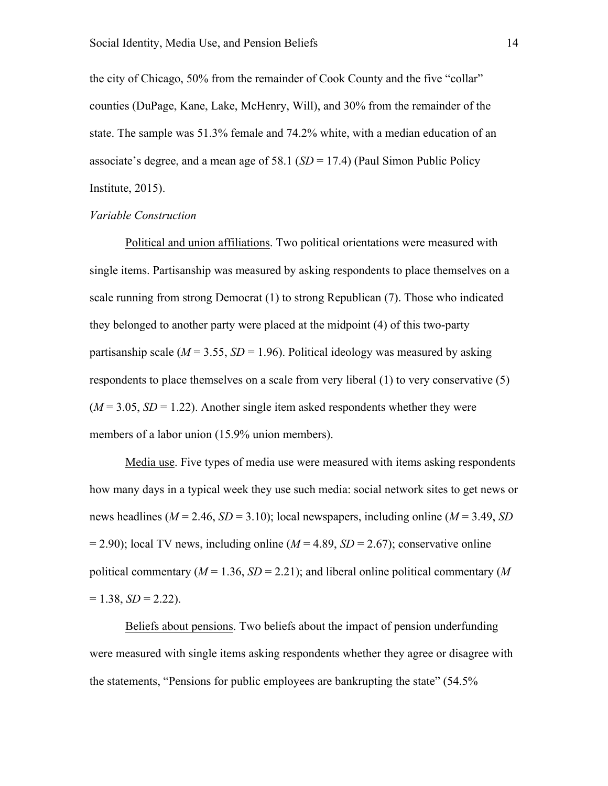the city of Chicago, 50% from the remainder of Cook County and the five "collar" counties (DuPage, Kane, Lake, McHenry, Will), and 30% from the remainder of the state. The sample was 51.3% female and 74.2% white, with a median education of an associate's degree, and a mean age of 58.1 (*SD* = 17.4) (Paul Simon Public Policy Institute, 2015).

## *Variable Construction*

Political and union affiliations. Two political orientations were measured with single items. Partisanship was measured by asking respondents to place themselves on a scale running from strong Democrat (1) to strong Republican (7). Those who indicated they belonged to another party were placed at the midpoint (4) of this two-party partisanship scale ( $M = 3.55$ ,  $SD = 1.96$ ). Political ideology was measured by asking respondents to place themselves on a scale from very liberal (1) to very conservative (5)  $(M = 3.05, SD = 1.22)$ . Another single item asked respondents whether they were members of a labor union (15.9% union members).

Media use. Five types of media use were measured with items asking respondents how many days in a typical week they use such media: social network sites to get news or news headlines (*M* = 2.46, *SD* = 3.10); local newspapers, including online (*M* = 3.49, *SD*  $= 2.90$ ; local TV news, including online ( $M = 4.89$ ,  $SD = 2.67$ ); conservative online political commentary ( $M = 1.36$ ,  $SD = 2.21$ ); and liberal online political commentary ( $M$  $= 1.38, SD = 2.22$ ).

Beliefs about pensions. Two beliefs about the impact of pension underfunding were measured with single items asking respondents whether they agree or disagree with the statements, "Pensions for public employees are bankrupting the state" (54.5%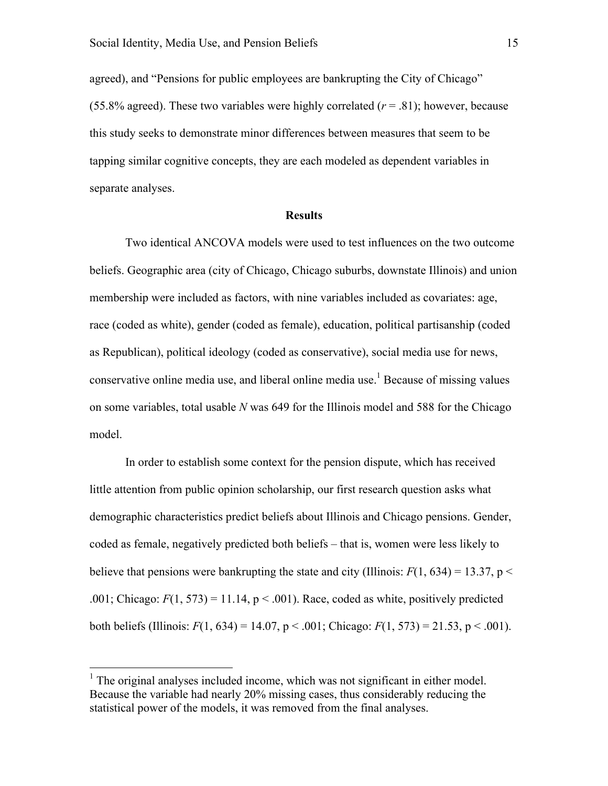agreed), and "Pensions for public employees are bankrupting the City of Chicago" (55.8% agreed). These two variables were highly correlated  $(r = .81)$ ; however, because this study seeks to demonstrate minor differences between measures that seem to be tapping similar cognitive concepts, they are each modeled as dependent variables in separate analyses.

#### **Results**

Two identical ANCOVA models were used to test influences on the two outcome beliefs. Geographic area (city of Chicago, Chicago suburbs, downstate Illinois) and union membership were included as factors, with nine variables included as covariates: age, race (coded as white), gender (coded as female), education, political partisanship (coded as Republican), political ideology (coded as conservative), social media use for news, conservative online media use, and liberal online media use.<sup>1</sup> Because of missing values on some variables, total usable *N* was 649 for the Illinois model and 588 for the Chicago model.

In order to establish some context for the pension dispute, which has received little attention from public opinion scholarship, our first research question asks what demographic characteristics predict beliefs about Illinois and Chicago pensions. Gender, coded as female, negatively predicted both beliefs – that is, women were less likely to believe that pensions were bankrupting the state and city (Illinois:  $F(1, 634) = 13.37$ , p < .001; Chicago:  $F(1, 573) = 11.14$ ,  $p < .001$ ). Race, coded as white, positively predicted both beliefs (Illinois:  $F(1, 634) = 14.07$ ,  $p < .001$ ; Chicago:  $F(1, 573) = 21.53$ ,  $p < .001$ ).

 $<sup>1</sup>$  The original analyses included income, which was not significant in either model.</sup> Because the variable had nearly 20% missing cases, thus considerably reducing the statistical power of the models, it was removed from the final analyses.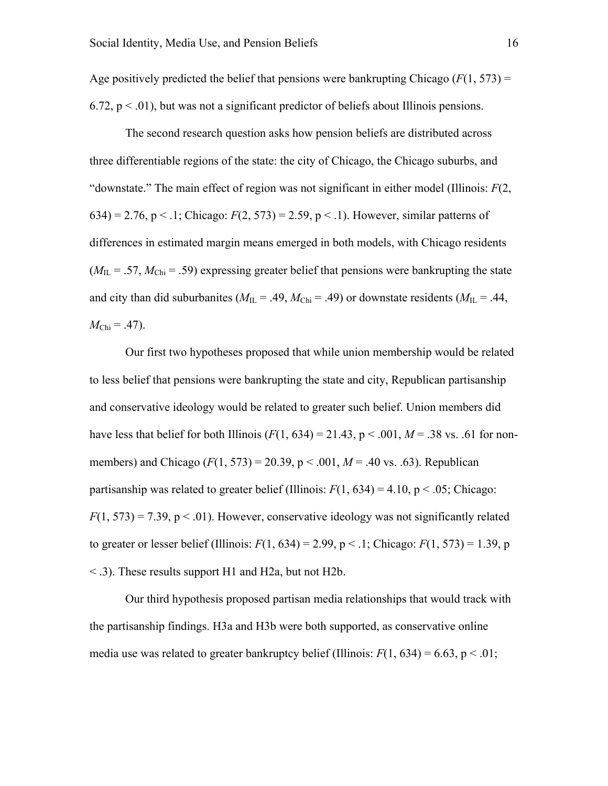Age positively predicted the belief that pensions were bankrupting Chicago  $(F(1, 573))$  = 6.72,  $p < .01$ ), but was not a significant predictor of beliefs about Illinois pensions.

The second research question asks how pension beliefs are distributed across three differentiable regions of the state: the city of Chicago, the Chicago suburbs, and "downstate." The main effect of region was not significant in either model (Illinois: *F*(2, 634) = 2.76, p < .1; Chicago:  $F(2, 573) = 2.59$ , p < .1). However, similar patterns of differences in estimated margin means emerged in both models, with Chicago residents  $(M_{\text{IL}} = .57, M_{\text{Chi}} = .59)$  expressing greater belief that pensions were bankrupting the state and city than did suburbanites ( $M_{\text{IL}} = .49$ ,  $M_{\text{Chi}} = .49$ ) or downstate residents ( $M_{\text{IL}} = .44$ ,  $M_{\text{Chi}} = .47$ ).

Our first two hypotheses proposed that while union membership would be related to less belief that pensions were bankrupting the state and city, Republican partisanship and conservative ideology would be related to greater such belief. Union members did have less that belief for both Illinois ( $F(1, 634) = 21.43$ ,  $p < .001$ ,  $M = .38$  vs. .61 for nonmembers) and Chicago (*F*(1, 573) = 20.39, p < .001, *M* = .40 vs. .63). Republican partisanship was related to greater belief (Illinois:  $F(1, 634) = 4.10$ ,  $p < .05$ ; Chicago:  $F(1, 573) = 7.39$ ,  $p < .01$ ). However, conservative ideology was not significantly related to greater or lesser belief (Illinois:  $F(1, 634) = 2.99$ ,  $p < 1$ ; Chicago:  $F(1, 573) = 1.39$ , p < .3). These results support H1 and H2a, but not H2b.

Our third hypothesis proposed partisan media relationships that would track with the partisanship findings. H3a and H3b were both supported, as conservative online media use was related to greater bankruptcy belief (Illinois:  $F(1, 634) = 6.63$ ,  $p < .01$ ;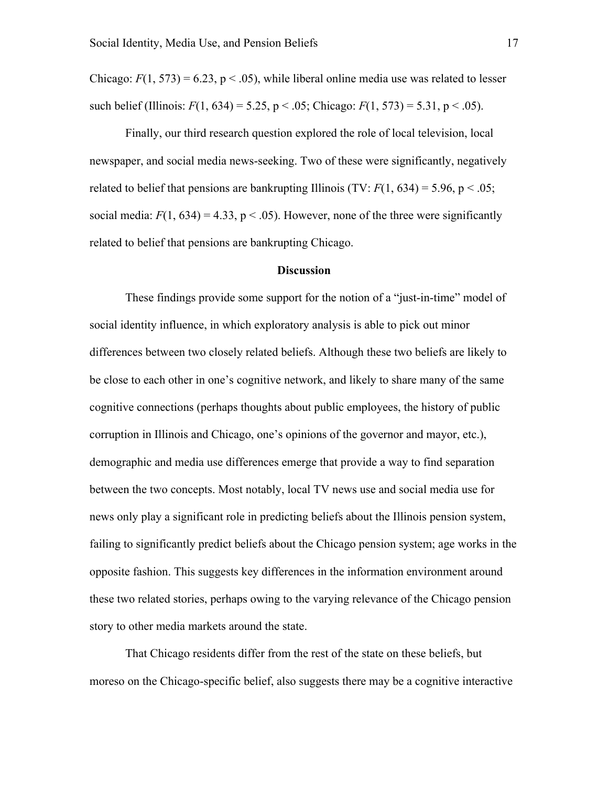Chicago:  $F(1, 573) = 6.23$ ,  $p < .05$ ), while liberal online media use was related to lesser such belief (Illinois:  $F(1, 634) = 5.25$ ,  $p < .05$ ; Chicago:  $F(1, 573) = 5.31$ ,  $p < .05$ ).

Finally, our third research question explored the role of local television, local newspaper, and social media news-seeking. Two of these were significantly, negatively related to belief that pensions are bankrupting Illinois (TV:  $F(1, 634) = 5.96$ , p < .05; social media:  $F(1, 634) = 4.33$ ,  $p < .05$ ). However, none of the three were significantly related to belief that pensions are bankrupting Chicago.

#### **Discussion**

These findings provide some support for the notion of a "just-in-time" model of social identity influence, in which exploratory analysis is able to pick out minor differences between two closely related beliefs. Although these two beliefs are likely to be close to each other in one's cognitive network, and likely to share many of the same cognitive connections (perhaps thoughts about public employees, the history of public corruption in Illinois and Chicago, one's opinions of the governor and mayor, etc.), demographic and media use differences emerge that provide a way to find separation between the two concepts. Most notably, local TV news use and social media use for news only play a significant role in predicting beliefs about the Illinois pension system, failing to significantly predict beliefs about the Chicago pension system; age works in the opposite fashion. This suggests key differences in the information environment around these two related stories, perhaps owing to the varying relevance of the Chicago pension story to other media markets around the state.

That Chicago residents differ from the rest of the state on these beliefs, but moreso on the Chicago-specific belief, also suggests there may be a cognitive interactive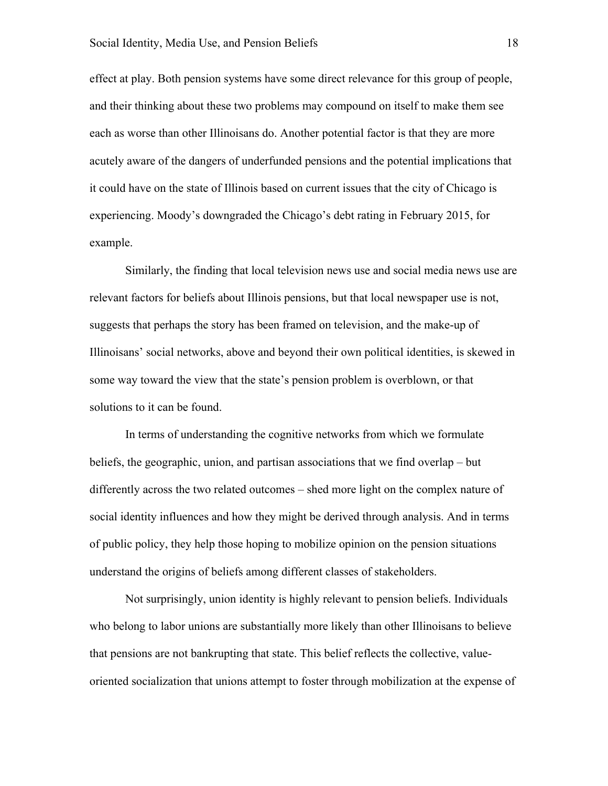effect at play. Both pension systems have some direct relevance for this group of people, and their thinking about these two problems may compound on itself to make them see each as worse than other Illinoisans do. Another potential factor is that they are more acutely aware of the dangers of underfunded pensions and the potential implications that it could have on the state of Illinois based on current issues that the city of Chicago is experiencing. Moody's downgraded the Chicago's debt rating in February 2015, for example.

Similarly, the finding that local television news use and social media news use are relevant factors for beliefs about Illinois pensions, but that local newspaper use is not, suggests that perhaps the story has been framed on television, and the make-up of Illinoisans' social networks, above and beyond their own political identities, is skewed in some way toward the view that the state's pension problem is overblown, or that solutions to it can be found.

In terms of understanding the cognitive networks from which we formulate beliefs, the geographic, union, and partisan associations that we find overlap – but differently across the two related outcomes – shed more light on the complex nature of social identity influences and how they might be derived through analysis. And in terms of public policy, they help those hoping to mobilize opinion on the pension situations understand the origins of beliefs among different classes of stakeholders.

Not surprisingly, union identity is highly relevant to pension beliefs. Individuals who belong to labor unions are substantially more likely than other Illinoisans to believe that pensions are not bankrupting that state. This belief reflects the collective, valueoriented socialization that unions attempt to foster through mobilization at the expense of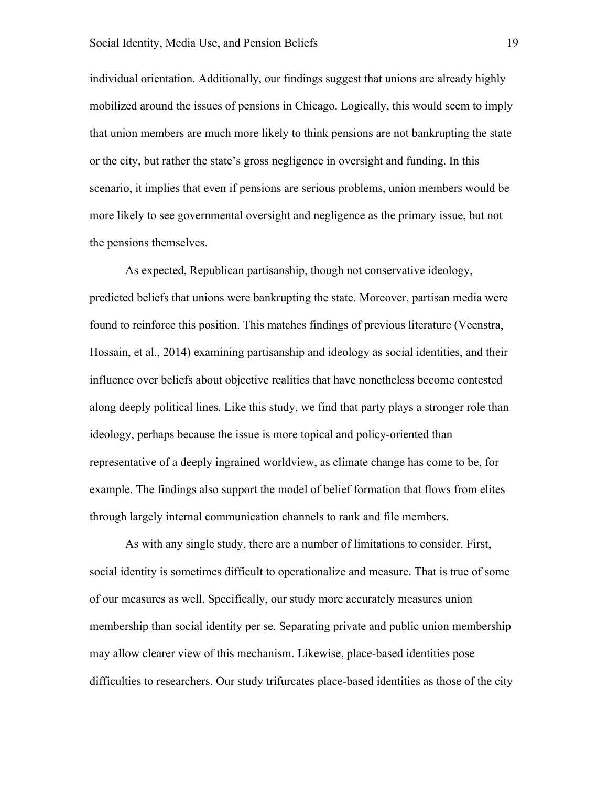individual orientation. Additionally, our findings suggest that unions are already highly mobilized around the issues of pensions in Chicago. Logically, this would seem to imply that union members are much more likely to think pensions are not bankrupting the state or the city, but rather the state's gross negligence in oversight and funding. In this scenario, it implies that even if pensions are serious problems, union members would be more likely to see governmental oversight and negligence as the primary issue, but not the pensions themselves.

As expected, Republican partisanship, though not conservative ideology, predicted beliefs that unions were bankrupting the state. Moreover, partisan media were found to reinforce this position. This matches findings of previous literature (Veenstra, Hossain, et al., 2014) examining partisanship and ideology as social identities, and their influence over beliefs about objective realities that have nonetheless become contested along deeply political lines. Like this study, we find that party plays a stronger role than ideology, perhaps because the issue is more topical and policy-oriented than representative of a deeply ingrained worldview, as climate change has come to be, for example. The findings also support the model of belief formation that flows from elites through largely internal communication channels to rank and file members.

As with any single study, there are a number of limitations to consider. First, social identity is sometimes difficult to operationalize and measure. That is true of some of our measures as well. Specifically, our study more accurately measures union membership than social identity per se. Separating private and public union membership may allow clearer view of this mechanism. Likewise, place-based identities pose difficulties to researchers. Our study trifurcates place-based identities as those of the city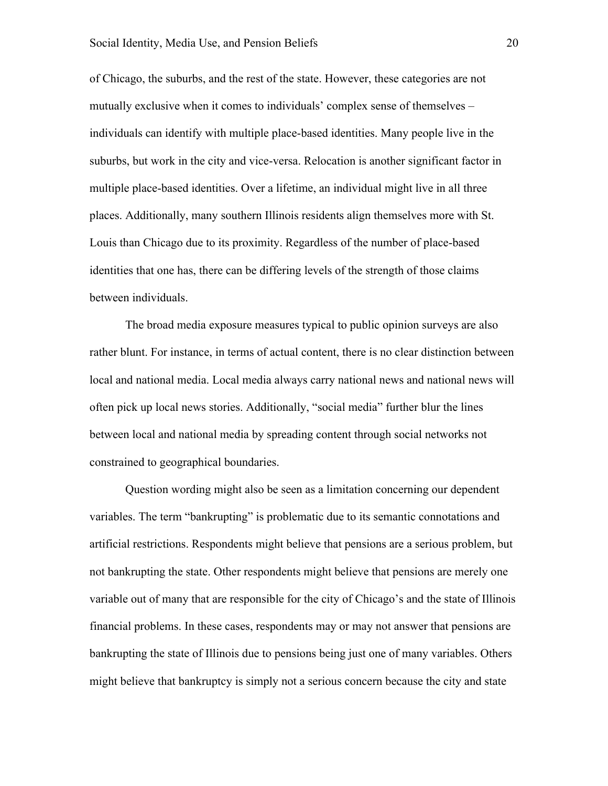of Chicago, the suburbs, and the rest of the state. However, these categories are not mutually exclusive when it comes to individuals' complex sense of themselves – individuals can identify with multiple place-based identities. Many people live in the suburbs, but work in the city and vice-versa. Relocation is another significant factor in multiple place-based identities. Over a lifetime, an individual might live in all three places. Additionally, many southern Illinois residents align themselves more with St. Louis than Chicago due to its proximity. Regardless of the number of place-based identities that one has, there can be differing levels of the strength of those claims between individuals.

The broad media exposure measures typical to public opinion surveys are also rather blunt. For instance, in terms of actual content, there is no clear distinction between local and national media. Local media always carry national news and national news will often pick up local news stories. Additionally, "social media" further blur the lines between local and national media by spreading content through social networks not constrained to geographical boundaries.

Question wording might also be seen as a limitation concerning our dependent variables. The term "bankrupting" is problematic due to its semantic connotations and artificial restrictions. Respondents might believe that pensions are a serious problem, but not bankrupting the state. Other respondents might believe that pensions are merely one variable out of many that are responsible for the city of Chicago's and the state of Illinois financial problems. In these cases, respondents may or may not answer that pensions are bankrupting the state of Illinois due to pensions being just one of many variables. Others might believe that bankruptcy is simply not a serious concern because the city and state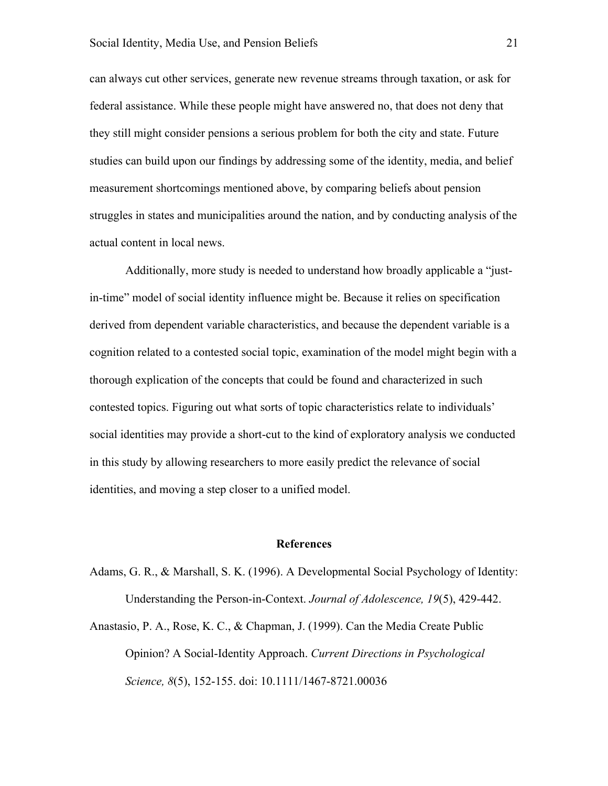can always cut other services, generate new revenue streams through taxation, or ask for federal assistance. While these people might have answered no, that does not deny that they still might consider pensions a serious problem for both the city and state. Future studies can build upon our findings by addressing some of the identity, media, and belief measurement shortcomings mentioned above, by comparing beliefs about pension struggles in states and municipalities around the nation, and by conducting analysis of the actual content in local news.

Additionally, more study is needed to understand how broadly applicable a "justin-time" model of social identity influence might be. Because it relies on specification derived from dependent variable characteristics, and because the dependent variable is a cognition related to a contested social topic, examination of the model might begin with a thorough explication of the concepts that could be found and characterized in such contested topics. Figuring out what sorts of topic characteristics relate to individuals' social identities may provide a short-cut to the kind of exploratory analysis we conducted in this study by allowing researchers to more easily predict the relevance of social identities, and moving a step closer to a unified model.

## **References**

Adams, G. R., & Marshall, S. K. (1996). A Developmental Social Psychology of Identity: Understanding the Person-in-Context. *Journal of Adolescence, 19*(5), 429-442.

Anastasio, P. A., Rose, K. C., & Chapman, J. (1999). Can the Media Create Public Opinion? A Social-Identity Approach. *Current Directions in Psychological Science, 8*(5), 152-155. doi: 10.1111/1467-8721.00036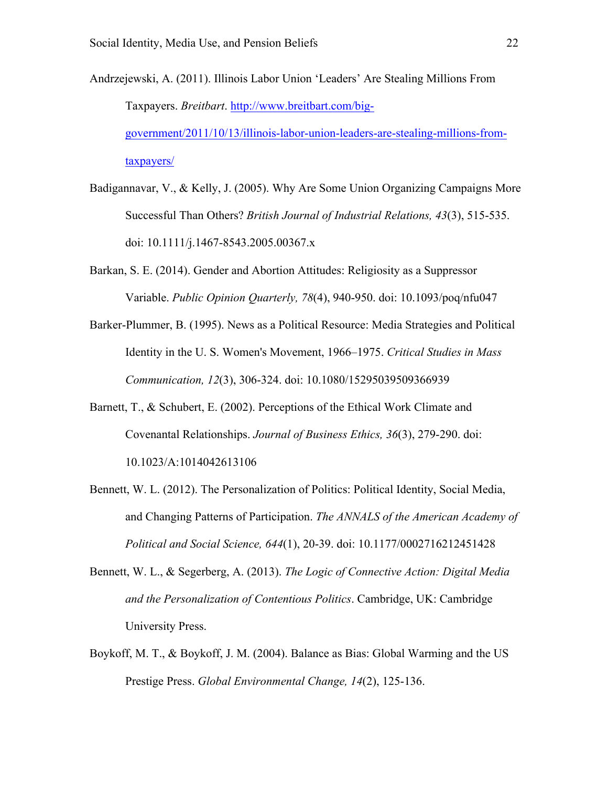- Andrzejewski, A. (2011). Illinois Labor Union 'Leaders' Are Stealing Millions From Taxpayers. *Breitbart*. http://www.breitbart.com/biggovernment/2011/10/13/illinois-labor-union-leaders-are-stealing-millions-fromtaxpayers/
- Badigannavar, V., & Kelly, J. (2005). Why Are Some Union Organizing Campaigns More Successful Than Others? *British Journal of Industrial Relations, 43*(3), 515-535. doi: 10.1111/j.1467-8543.2005.00367.x
- Barkan, S. E. (2014). Gender and Abortion Attitudes: Religiosity as a Suppressor Variable. *Public Opinion Quarterly, 78*(4), 940-950. doi: 10.1093/poq/nfu047
- Barker-Plummer, B. (1995). News as a Political Resource: Media Strategies and Political Identity in the U. S. Women's Movement, 1966–1975. *Critical Studies in Mass Communication, 12*(3), 306-324. doi: 10.1080/15295039509366939
- Barnett, T., & Schubert, E. (2002). Perceptions of the Ethical Work Climate and Covenantal Relationships. *Journal of Business Ethics, 36*(3), 279-290. doi: 10.1023/A:1014042613106
- Bennett, W. L. (2012). The Personalization of Politics: Political Identity, Social Media, and Changing Patterns of Participation. *The ANNALS of the American Academy of Political and Social Science, 644*(1), 20-39. doi: 10.1177/0002716212451428
- Bennett, W. L., & Segerberg, A. (2013). *The Logic of Connective Action: Digital Media and the Personalization of Contentious Politics*. Cambridge, UK: Cambridge University Press.
- Boykoff, M. T., & Boykoff, J. M. (2004). Balance as Bias: Global Warming and the US Prestige Press. *Global Environmental Change, 14*(2), 125-136.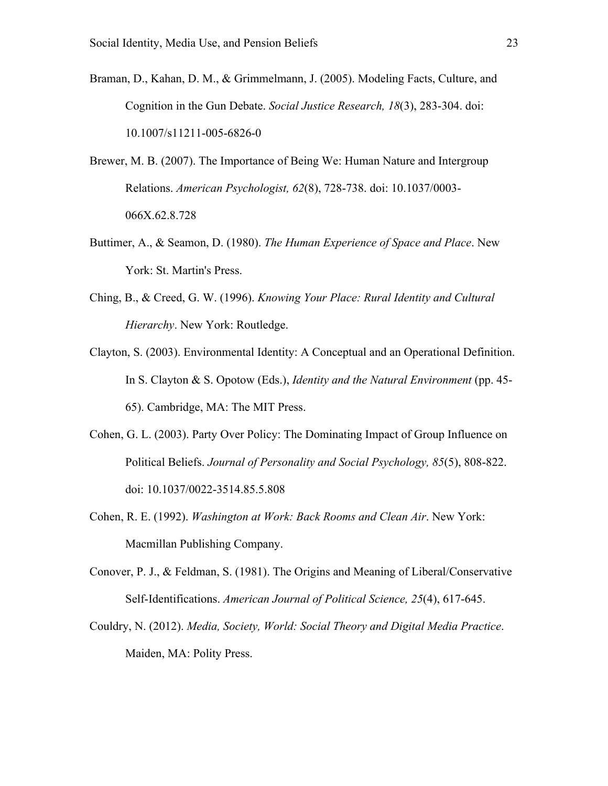- Braman, D., Kahan, D. M., & Grimmelmann, J. (2005). Modeling Facts, Culture, and Cognition in the Gun Debate. *Social Justice Research, 18*(3), 283-304. doi: 10.1007/s11211-005-6826-0
- Brewer, M. B. (2007). The Importance of Being We: Human Nature and Intergroup Relations. *American Psychologist, 62*(8), 728-738. doi: 10.1037/0003- 066X.62.8.728
- Buttimer, A., & Seamon, D. (1980). *The Human Experience of Space and Place*. New York: St. Martin's Press.
- Ching, B., & Creed, G. W. (1996). *Knowing Your Place: Rural Identity and Cultural Hierarchy*. New York: Routledge.
- Clayton, S. (2003). Environmental Identity: A Conceptual and an Operational Definition. In S. Clayton & S. Opotow (Eds.), *Identity and the Natural Environment* (pp. 45- 65). Cambridge, MA: The MIT Press.
- Cohen, G. L. (2003). Party Over Policy: The Dominating Impact of Group Influence on Political Beliefs. *Journal of Personality and Social Psychology, 85*(5), 808-822. doi: 10.1037/0022-3514.85.5.808
- Cohen, R. E. (1992). *Washington at Work: Back Rooms and Clean Air*. New York: Macmillan Publishing Company.
- Conover, P. J., & Feldman, S. (1981). The Origins and Meaning of Liberal/Conservative Self-Identifications. *American Journal of Political Science, 25*(4), 617-645.
- Couldry, N. (2012). *Media, Society, World: Social Theory and Digital Media Practice*. Maiden, MA: Polity Press.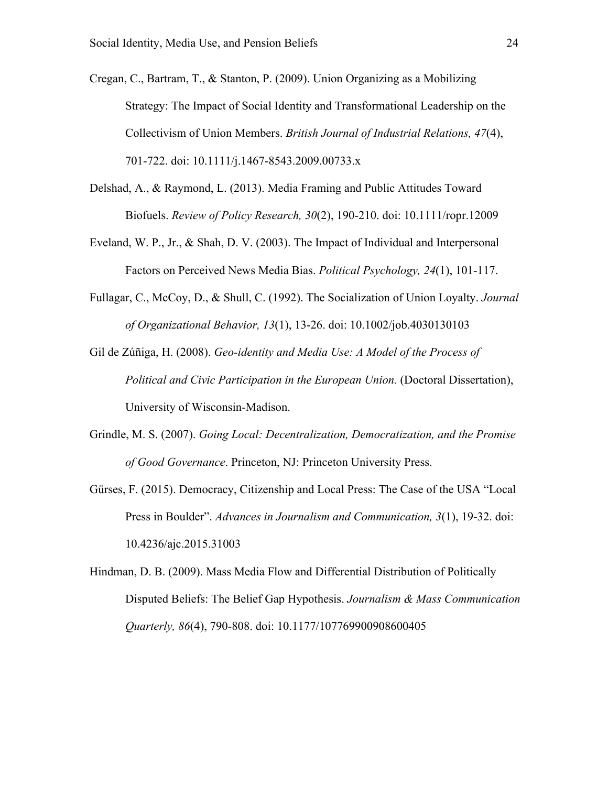- Cregan, C., Bartram, T., & Stanton, P. (2009). Union Organizing as a Mobilizing Strategy: The Impact of Social Identity and Transformational Leadership on the Collectivism of Union Members. *British Journal of Industrial Relations, 47*(4), 701-722. doi: 10.1111/j.1467-8543.2009.00733.x
- Delshad, A., & Raymond, L. (2013). Media Framing and Public Attitudes Toward Biofuels. *Review of Policy Research, 30*(2), 190-210. doi: 10.1111/ropr.12009
- Eveland, W. P., Jr., & Shah, D. V. (2003). The Impact of Individual and Interpersonal Factors on Perceived News Media Bias. *Political Psychology, 24*(1), 101-117.
- Fullagar, C., McCoy, D., & Shull, C. (1992). The Socialization of Union Loyalty. *Journal of Organizational Behavior, 13*(1), 13-26. doi: 10.1002/job.4030130103
- Gil de Zúñiga, H. (2008). *Geo-identity and Media Use: A Model of the Process of Political and Civic Participation in the European Union.* (Doctoral Dissertation), University of Wisconsin-Madison.
- Grindle, M. S. (2007). *Going Local: Decentralization, Democratization, and the Promise of Good Governance*. Princeton, NJ: Princeton University Press.
- Gürses, F. (2015). Democracy, Citizenship and Local Press: The Case of the USA "Local Press in Boulder". *Advances in Journalism and Communication, 3*(1), 19-32. doi: 10.4236/ajc.2015.31003
- Hindman, D. B. (2009). Mass Media Flow and Differential Distribution of Politically Disputed Beliefs: The Belief Gap Hypothesis. *Journalism & Mass Communication Quarterly, 86*(4), 790-808. doi: 10.1177/107769900908600405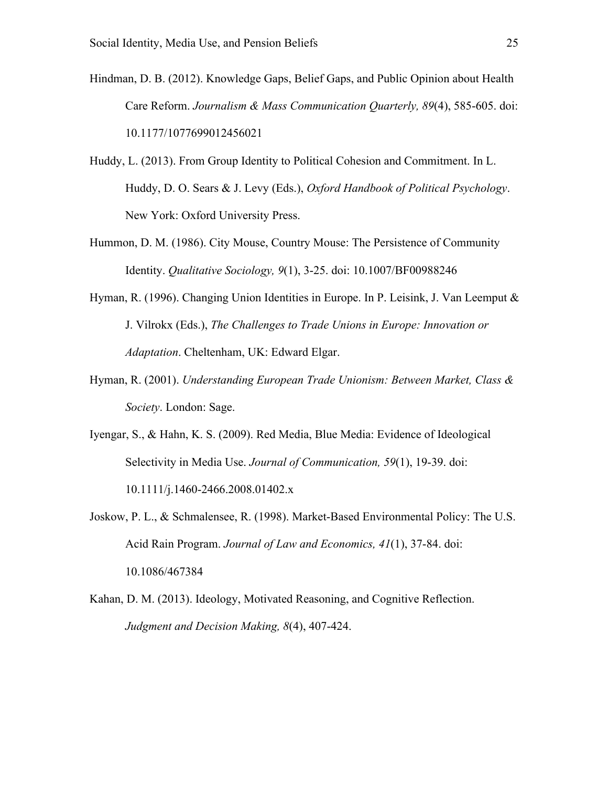- Hindman, D. B. (2012). Knowledge Gaps, Belief Gaps, and Public Opinion about Health Care Reform. *Journalism & Mass Communication Quarterly, 89*(4), 585-605. doi: 10.1177/1077699012456021
- Huddy, L. (2013). From Group Identity to Political Cohesion and Commitment. In L. Huddy, D. O. Sears & J. Levy (Eds.), *Oxford Handbook of Political Psychology*. New York: Oxford University Press.
- Hummon, D. M. (1986). City Mouse, Country Mouse: The Persistence of Community Identity. *Qualitative Sociology, 9*(1), 3-25. doi: 10.1007/BF00988246
- Hyman, R. (1996). Changing Union Identities in Europe. In P. Leisink, J. Van Leemput  $\&$ J. Vilrokx (Eds.), *The Challenges to Trade Unions in Europe: Innovation or Adaptation*. Cheltenham, UK: Edward Elgar.
- Hyman, R. (2001). *Understanding European Trade Unionism: Between Market, Class & Society*. London: Sage.
- Iyengar, S., & Hahn, K. S. (2009). Red Media, Blue Media: Evidence of Ideological Selectivity in Media Use. *Journal of Communication, 59*(1), 19-39. doi: 10.1111/j.1460-2466.2008.01402.x
- Joskow, P. L., & Schmalensee, R. (1998). Market-Based Environmental Policy: The U.S. Acid Rain Program. *Journal of Law and Economics, 41*(1), 37-84. doi: 10.1086/467384
- Kahan, D. M. (2013). Ideology, Motivated Reasoning, and Cognitive Reflection. *Judgment and Decision Making, 8*(4), 407-424.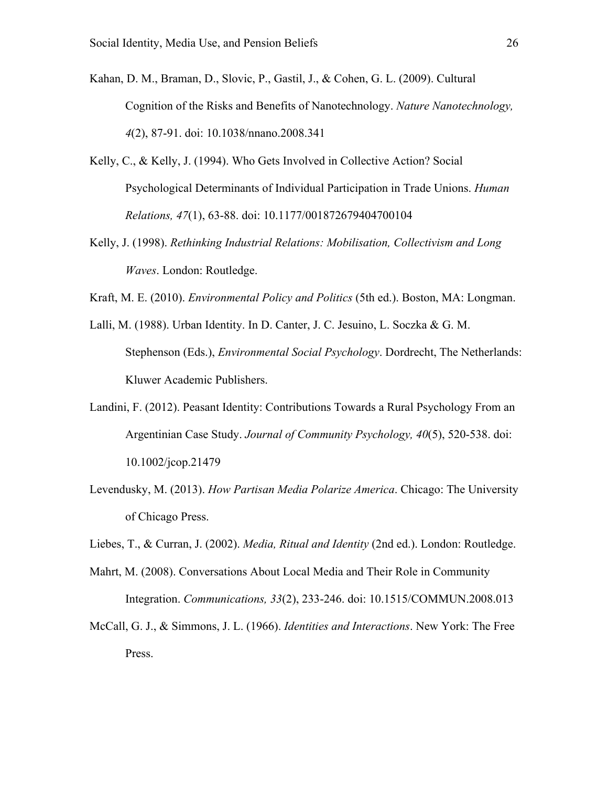- Kahan, D. M., Braman, D., Slovic, P., Gastil, J., & Cohen, G. L. (2009). Cultural Cognition of the Risks and Benefits of Nanotechnology. *Nature Nanotechnology, 4*(2), 87-91. doi: 10.1038/nnano.2008.341
- Kelly, C., & Kelly, J. (1994). Who Gets Involved in Collective Action? Social Psychological Determinants of Individual Participation in Trade Unions. *Human Relations, 47*(1), 63-88. doi: 10.1177/001872679404700104
- Kelly, J. (1998). *Rethinking Industrial Relations: Mobilisation, Collectivism and Long Waves*. London: Routledge.
- Kraft, M. E. (2010). *Environmental Policy and Politics* (5th ed.). Boston, MA: Longman.
- Lalli, M. (1988). Urban Identity. In D. Canter, J. C. Jesuino, L. Soczka & G. M. Stephenson (Eds.), *Environmental Social Psychology*. Dordrecht, The Netherlands: Kluwer Academic Publishers.
- Landini, F. (2012). Peasant Identity: Contributions Towards a Rural Psychology From an Argentinian Case Study. *Journal of Community Psychology, 40*(5), 520-538. doi: 10.1002/jcop.21479
- Levendusky, M. (2013). *How Partisan Media Polarize America*. Chicago: The University of Chicago Press.
- Liebes, T., & Curran, J. (2002). *Media, Ritual and Identity* (2nd ed.). London: Routledge.
- Mahrt, M. (2008). Conversations About Local Media and Their Role in Community Integration. *Communications, 33*(2), 233-246. doi: 10.1515/COMMUN.2008.013
- McCall, G. J., & Simmons, J. L. (1966). *Identities and Interactions*. New York: The Free Press.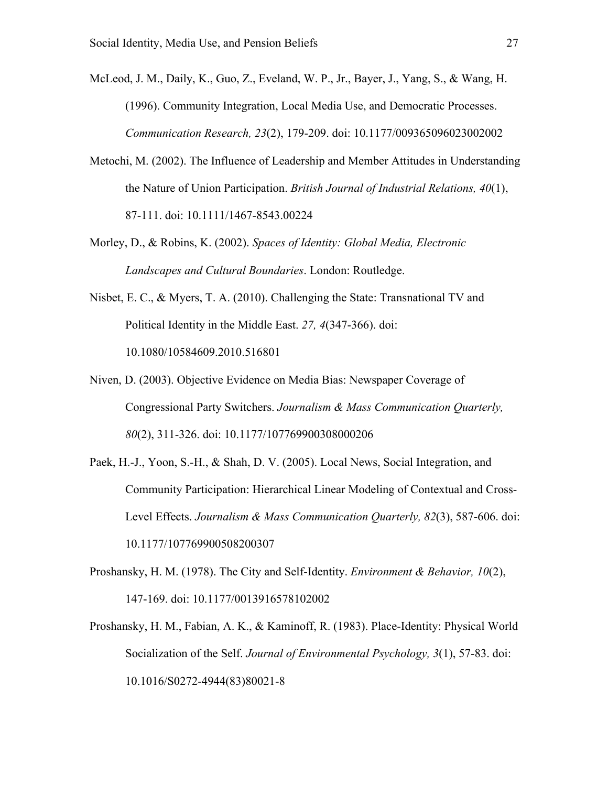McLeod, J. M., Daily, K., Guo, Z., Eveland, W. P., Jr., Bayer, J., Yang, S., & Wang, H. (1996). Community Integration, Local Media Use, and Democratic Processes. *Communication Research, 23*(2), 179-209. doi: 10.1177/009365096023002002

- Metochi, M. (2002). The Influence of Leadership and Member Attitudes in Understanding the Nature of Union Participation. *British Journal of Industrial Relations, 40*(1), 87-111. doi: 10.1111/1467-8543.00224
- Morley, D., & Robins, K. (2002). *Spaces of Identity: Global Media, Electronic Landscapes and Cultural Boundaries*. London: Routledge.
- Nisbet, E. C., & Myers, T. A. (2010). Challenging the State: Transnational TV and Political Identity in the Middle East. *27, 4*(347-366). doi: 10.1080/10584609.2010.516801
- Niven, D. (2003). Objective Evidence on Media Bias: Newspaper Coverage of Congressional Party Switchers. *Journalism & Mass Communication Quarterly, 80*(2), 311-326. doi: 10.1177/107769900308000206
- Paek, H.-J., Yoon, S.-H., & Shah, D. V. (2005). Local News, Social Integration, and Community Participation: Hierarchical Linear Modeling of Contextual and Cross-Level Effects. *Journalism & Mass Communication Quarterly, 82*(3), 587-606. doi: 10.1177/107769900508200307
- Proshansky, H. M. (1978). The City and Self-Identity. *Environment & Behavior, 10*(2), 147-169. doi: 10.1177/0013916578102002
- Proshansky, H. M., Fabian, A. K., & Kaminoff, R. (1983). Place-Identity: Physical World Socialization of the Self. *Journal of Environmental Psychology, 3*(1), 57-83. doi: 10.1016/S0272-4944(83)80021-8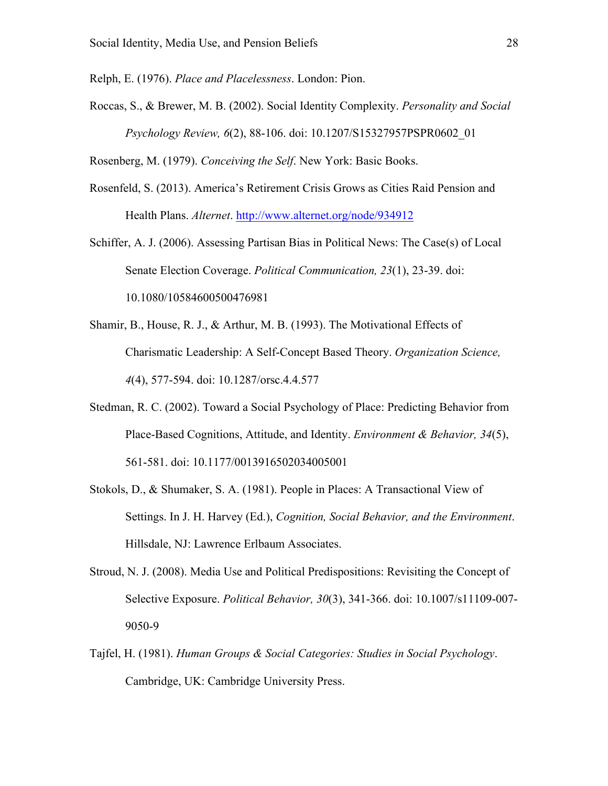Relph, E. (1976). *Place and Placelessness*. London: Pion.

Roccas, S., & Brewer, M. B. (2002). Social Identity Complexity. *Personality and Social Psychology Review, 6*(2), 88-106. doi: 10.1207/S15327957PSPR0602\_01

Rosenberg, M. (1979). *Conceiving the Self*. New York: Basic Books.

- Rosenfeld, S. (2013). America's Retirement Crisis Grows as Cities Raid Pension and Health Plans. *Alternet*. http://www.alternet.org/node/934912
- Schiffer, A. J. (2006). Assessing Partisan Bias in Political News: The Case(s) of Local Senate Election Coverage. *Political Communication, 23*(1), 23-39. doi: 10.1080/10584600500476981
- Shamir, B., House, R. J., & Arthur, M. B. (1993). The Motivational Effects of Charismatic Leadership: A Self-Concept Based Theory. *Organization Science, 4*(4), 577-594. doi: 10.1287/orsc.4.4.577
- Stedman, R. C. (2002). Toward a Social Psychology of Place: Predicting Behavior from Place-Based Cognitions, Attitude, and Identity. *Environment & Behavior, 34*(5), 561-581. doi: 10.1177/0013916502034005001
- Stokols, D., & Shumaker, S. A. (1981). People in Places: A Transactional View of Settings. In J. H. Harvey (Ed.), *Cognition, Social Behavior, and the Environment*. Hillsdale, NJ: Lawrence Erlbaum Associates.
- Stroud, N. J. (2008). Media Use and Political Predispositions: Revisiting the Concept of Selective Exposure. *Political Behavior, 30*(3), 341-366. doi: 10.1007/s11109-007- 9050-9
- Tajfel, H. (1981). *Human Groups & Social Categories: Studies in Social Psychology*. Cambridge, UK: Cambridge University Press.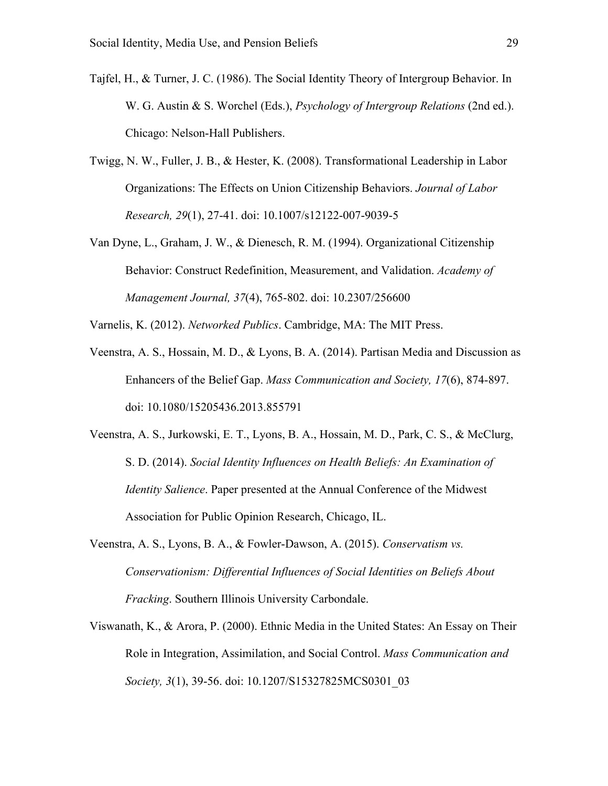- Tajfel, H., & Turner, J. C. (1986). The Social Identity Theory of Intergroup Behavior. In W. G. Austin & S. Worchel (Eds.), *Psychology of Intergroup Relations* (2nd ed.). Chicago: Nelson-Hall Publishers.
- Twigg, N. W., Fuller, J. B., & Hester, K. (2008). Transformational Leadership in Labor Organizations: The Effects on Union Citizenship Behaviors. *Journal of Labor Research, 29*(1), 27-41. doi: 10.1007/s12122-007-9039-5
- Van Dyne, L., Graham, J. W., & Dienesch, R. M. (1994). Organizational Citizenship Behavior: Construct Redefinition, Measurement, and Validation. *Academy of Management Journal, 37*(4), 765-802. doi: 10.2307/256600

Varnelis, K. (2012). *Networked Publics*. Cambridge, MA: The MIT Press.

- Veenstra, A. S., Hossain, M. D., & Lyons, B. A. (2014). Partisan Media and Discussion as Enhancers of the Belief Gap. *Mass Communication and Society, 17*(6), 874-897. doi: 10.1080/15205436.2013.855791
- Veenstra, A. S., Jurkowski, E. T., Lyons, B. A., Hossain, M. D., Park, C. S., & McClurg, S. D. (2014). *Social Identity Influences on Health Beliefs: An Examination of Identity Salience*. Paper presented at the Annual Conference of the Midwest Association for Public Opinion Research, Chicago, IL.
- Veenstra, A. S., Lyons, B. A., & Fowler-Dawson, A. (2015). *Conservatism vs. Conservationism: Differential Influences of Social Identities on Beliefs About Fracking*. Southern Illinois University Carbondale.
- Viswanath, K., & Arora, P. (2000). Ethnic Media in the United States: An Essay on Their Role in Integration, Assimilation, and Social Control. *Mass Communication and Society, 3*(1), 39-56. doi: 10.1207/S15327825MCS0301\_03